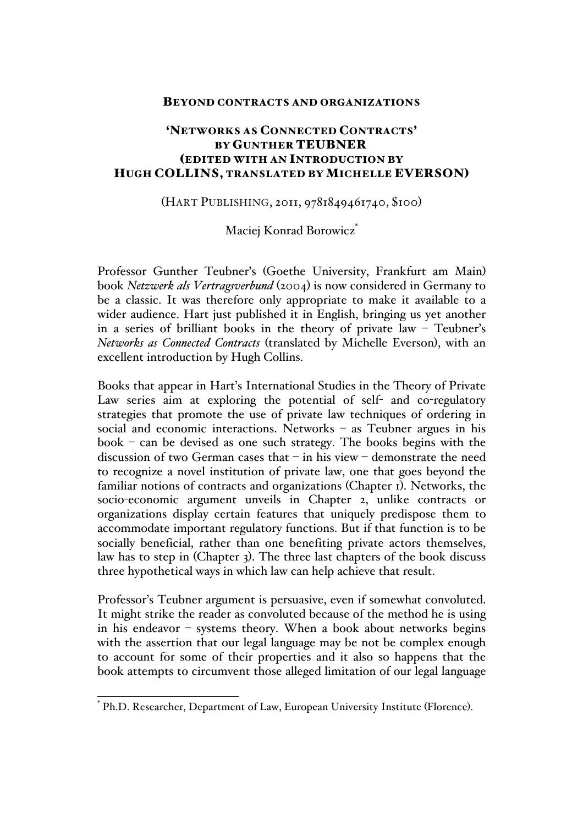#### BEYOND CONTRACTS AND ORGANIZATIONS

# 'NETWORKS AS CONNECTED CONTRACTS' BY GUNTHER TEUBNER (EDITED WITH AN INTRODUCTION BY HUGH COLLINS, TRANSLATED BY MICHELLE EVERSON)

## (HART PUBLISHING, 2011, 9781849461740, \$100)

## Maciej Konrad Borowicz\*

Professor Gunther Teubner's (Goethe University, Frankfurt am Main) book *Netzwerk als Vertragsverbund* (2004) is now considered in Germany to be a classic. It was therefore only appropriate to make it available to a wider audience. Hart just published it in English, bringing us yet another in a series of brilliant books in the theory of private law – Teubner's *Networks as Connected Contracts* (translated by Michelle Everson), with an excellent introduction by Hugh Collins.

Books that appear in Hart's International Studies in the Theory of Private Law series aim at exploring the potential of self- and co-regulatory strategies that promote the use of private law techniques of ordering in social and economic interactions. Networks – as Teubner argues in his book – can be devised as one such strategy. The books begins with the discussion of two German cases that – in his view – demonstrate the need to recognize a novel institution of private law, one that goes beyond the familiar notions of contracts and organizations (Chapter 1). Networks, the socio-economic argument unveils in Chapter 2, unlike contracts or organizations display certain features that uniquely predispose them to accommodate important regulatory functions. But if that function is to be socially beneficial, rather than one benefiting private actors themselves, law has to step in (Chapter 3). The three last chapters of the book discuss three hypothetical ways in which law can help achieve that result.

Professor's Teubner argument is persuasive, even if somewhat convoluted. It might strike the reader as convoluted because of the method he is using in his endeavor – systems theory. When a book about networks begins with the assertion that our legal language may be not be complex enough to account for some of their properties and it also so happens that the book attempts to circumvent those alleged limitation of our legal language

Ph.D. Researcher, Department of Law, European University Institute (Florence).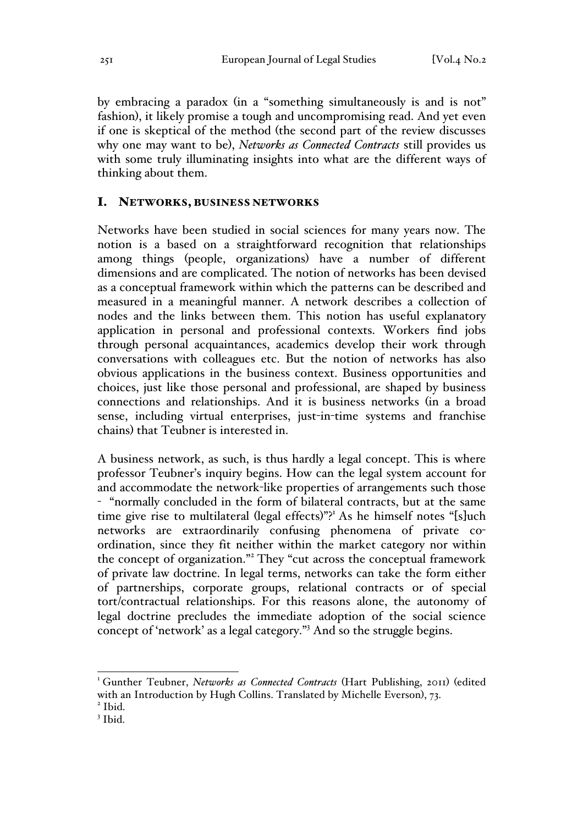by embracing a paradox (in a "something simultaneously is and is not" fashion), it likely promise a tough and uncompromising read. And yet even if one is skeptical of the method (the second part of the review discusses why one may want to be), *Networks as Connected Contracts* still provides us with some truly illuminating insights into what are the different ways of thinking about them.

#### I. NETWORKS, BUSINESS NETWORKS

Networks have been studied in social sciences for many years now. The notion is a based on a straightforward recognition that relationships among things (people, organizations) have a number of different dimensions and are complicated. The notion of networks has been devised as a conceptual framework within which the patterns can be described and measured in a meaningful manner. A network describes a collection of nodes and the links between them. This notion has useful explanatory application in personal and professional contexts. Workers find jobs through personal acquaintances, academics develop their work through conversations with colleagues etc. But the notion of networks has also obvious applications in the business context. Business opportunities and choices, just like those personal and professional, are shaped by business connections and relationships. And it is business networks (in a broad sense, including virtual enterprises, just-in-time systems and franchise chains) that Teubner is interested in.

A business network, as such, is thus hardly a legal concept. This is where professor Teubner's inquiry begins. How can the legal system account for and accommodate the network-like properties of arrangements such those - "normally concluded in the form of bilateral contracts, but at the same time give rise to multilateral (legal effects)"?<sup>1</sup> As he himself notes "[s]uch networks are extraordinarily confusing phenomena of private coordination, since they fit neither within the market category nor within the concept of organization."<sup>2</sup> They "cut across the conceptual framework of private law doctrine. In legal terms, networks can take the form either of partnerships, corporate groups, relational contracts or of special tort/contractual relationships. For this reasons alone, the autonomy of legal doctrine precludes the immediate adoption of the social science concept of 'network' as a legal category."3 And so the struggle begins.

<sup>&</sup>lt;sup>1</sup> Gunther Teubner, *Networks as Connected Contracts* (Hart Publishing, 2011) (edited with an Introduction by Hugh Collins. Translated by Michelle Everson), 73.<br><sup>2</sup> Ibid.

<sup>3</sup> Ibid.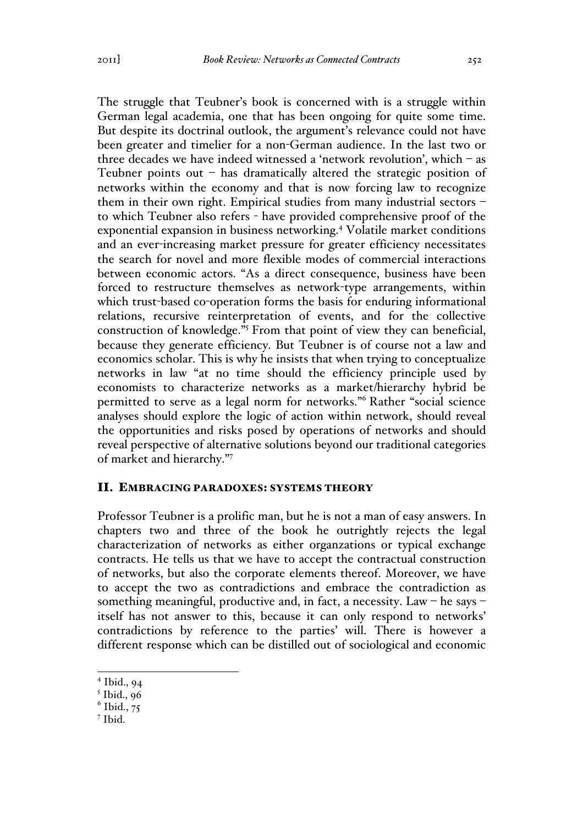The struggle that Teubner's book is concerned with is a struggle within German legal academia, one that has been ongoing for quite some time. But despite its doctrinal outlook, the argument's relevance could not have been greater and timelier for a non-German audience. In the last two or three decades we have indeed witnessed a 'network revolution', which – as Teubner points out – has dramatically altered the strategic position of networks within the economy and that is now forcing law to recognize them in their own right. Empirical studies from many industrial sectors – to which Teubner also refers - have provided comprehensive proof of the exponential expansion in business networking.<sup>4</sup> Volatile market conditions and an ever-increasing market pressure for greater efficiency necessitates the search for novel and more flexible modes of commercial interactions between economic actors. "As a direct consequence, business have been forced to restructure themselves as network-type arrangements, within which trust-based co-operation forms the basis for enduring informational relations, recursive reinterpretation of events, and for the collective construction of knowledge."5 From that point of view they can beneficial, because they generate efficiency. But Teubner is of course not a law and economics scholar. This is why he insists that when trying to conceptualize networks in law "at no time should the efficiency principle used by economists to characterize networks as a market/hierarchy hybrid be permitted to serve as a legal norm for networks."<sup>6</sup> Rather "social science analyses should explore the logic of action within network, should reveal the opportunities and risks posed by operations of networks and should reveal perspective of alternative solutions beyond our traditional categories of market and hierarchy."<sup>7</sup>

#### II. EMBRACING PARADOXES: SYSTEMS THEORY

Professor Teubner is a prolific man, but he is not a man of easy answers. In chapters two and three of the book he outrightly rejects the legal characterization of networks as either organzations or typical exchange contracts. He tells us that we have to accept the contractual construction of networks, but also the corporate elements thereof. Moreover, we have to accept the two as contradictions and embrace the contradiction as something meaningful, productive and, in fact, a necessity. Law – he says – itself has not answer to this, because it can only respond to networks' contradictions by reference to the parties' will. There is however a different response which can be distilled out of sociological and economic

<sup>7</sup> Ibid.

 $4$  Ibid., 94

 $<sup>5</sup>$  Ibid., 96</sup>

 $<sup>6</sup>$  Ibid., 75</sup>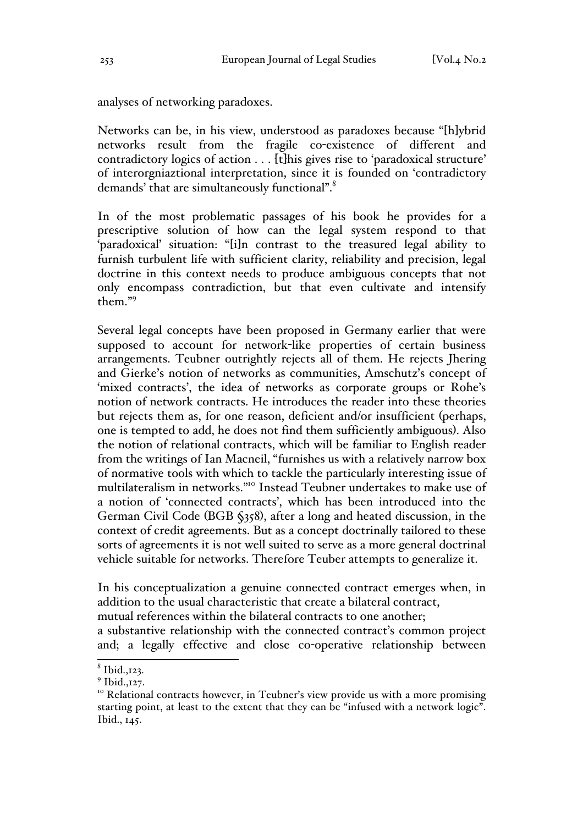analyses of networking paradoxes.

Networks can be, in his view, understood as paradoxes because "[h]ybrid networks result from the fragile co-existence of different and contradictory logics of action . . . [t]his gives rise to 'paradoxical structure' of interorgniaztional interpretation, since it is founded on 'contradictory demands' that are simultaneously functional".<sup>8</sup>

In of the most problematic passages of his book he provides for a prescriptive solution of how can the legal system respond to that 'paradoxical' situation: "[i]n contrast to the treasured legal ability to furnish turbulent life with sufficient clarity, reliability and precision, legal doctrine in this context needs to produce ambiguous concepts that not only encompass contradiction, but that even cultivate and intensify them."<sup>9</sup>

Several legal concepts have been proposed in Germany earlier that were supposed to account for network-like properties of certain business arrangements. Teubner outrightly rejects all of them. He rejects Jhering and Gierke's notion of networks as communities, Amschutz's concept of 'mixed contracts', the idea of networks as corporate groups or Rohe's notion of network contracts. He introduces the reader into these theories but rejects them as, for one reason, deficient and/or insufficient (perhaps, one is tempted to add, he does not find them sufficiently ambiguous). Also the notion of relational contracts, which will be familiar to English reader from the writings of Ian Macneil, "furnishes us with a relatively narrow box of normative tools with which to tackle the particularly interesting issue of multilateralism in networks."<sup>10</sup> Instead Teubner undertakes to make use of a notion of 'connected contracts', which has been introduced into the German Civil Code (BGB §358), after a long and heated discussion, in the context of credit agreements. But as a concept doctrinally tailored to these sorts of agreements it is not well suited to serve as a more general doctrinal vehicle suitable for networks. Therefore Teuber attempts to generalize it.

In his conceptualization a genuine connected contract emerges when, in addition to the usual characteristic that create a bilateral contract, mutual references within the bilateral contracts to one another; a substantive relationship with the connected contract's common project

and; a legally effective and close co-operative relationship between

 $8$  Ibid., 123.

 $9$  Ibid.,  $127$ .

<sup>&</sup>lt;sup>10</sup> Relational contracts however, in Teubner's view provide us with a more promising starting point, at least to the extent that they can be "infused with a network logic". Ibid., 145.